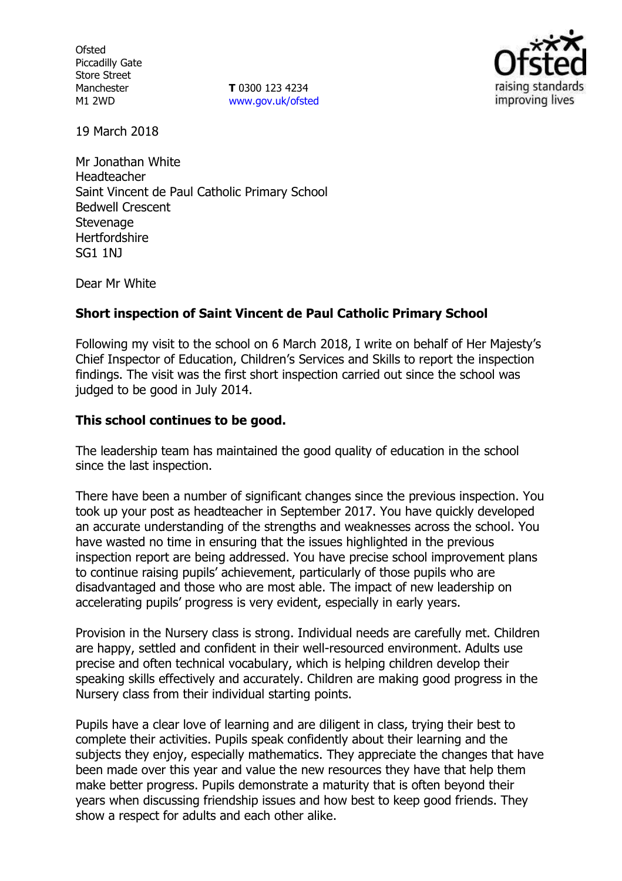**Ofsted** Piccadilly Gate Store Street Manchester M1 2WD

**T** 0300 123 4234 [www.gov.uk/ofsted](http://www.gov.uk/ofsted)



19 March 2018

Mr Jonathan White Headteacher Saint Vincent de Paul Catholic Primary School Bedwell Crescent **Stevenage Hertfordshire** SG1 1NJ

Dear Mr White

# **Short inspection of Saint Vincent de Paul Catholic Primary School**

Following my visit to the school on 6 March 2018, I write on behalf of Her Majesty's Chief Inspector of Education, Children's Services and Skills to report the inspection findings. The visit was the first short inspection carried out since the school was judged to be good in July 2014.

# **This school continues to be good.**

The leadership team has maintained the good quality of education in the school since the last inspection.

There have been a number of significant changes since the previous inspection. You took up your post as headteacher in September 2017. You have quickly developed an accurate understanding of the strengths and weaknesses across the school. You have wasted no time in ensuring that the issues highlighted in the previous inspection report are being addressed. You have precise school improvement plans to continue raising pupils' achievement, particularly of those pupils who are disadvantaged and those who are most able. The impact of new leadership on accelerating pupils' progress is very evident, especially in early years.

Provision in the Nursery class is strong. Individual needs are carefully met. Children are happy, settled and confident in their well-resourced environment. Adults use precise and often technical vocabulary, which is helping children develop their speaking skills effectively and accurately. Children are making good progress in the Nursery class from their individual starting points.

Pupils have a clear love of learning and are diligent in class, trying their best to complete their activities. Pupils speak confidently about their learning and the subjects they enjoy, especially mathematics. They appreciate the changes that have been made over this year and value the new resources they have that help them make better progress. Pupils demonstrate a maturity that is often beyond their years when discussing friendship issues and how best to keep good friends. They show a respect for adults and each other alike.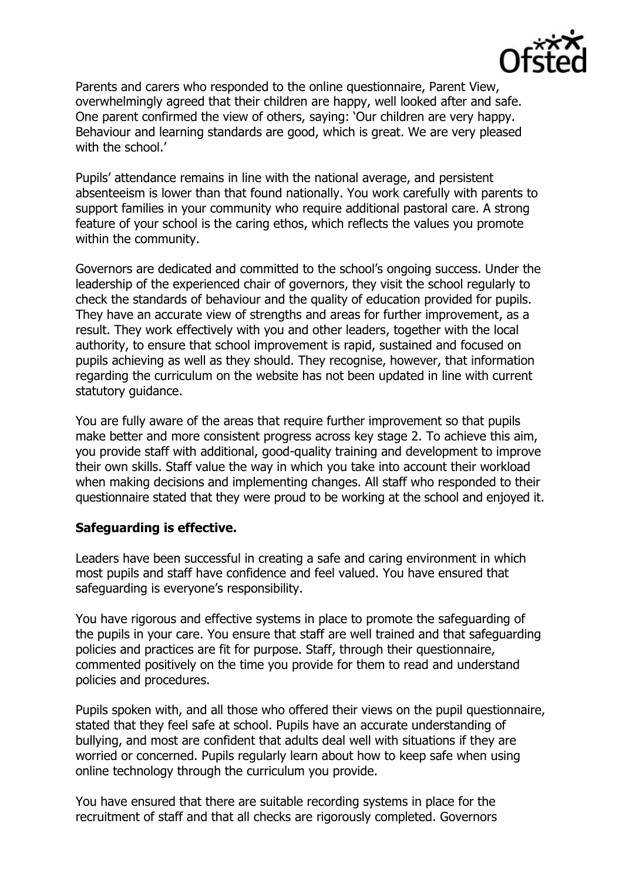

Parents and carers who responded to the online questionnaire, Parent View, overwhelmingly agreed that their children are happy, well looked after and safe. One parent confirmed the view of others, saying: 'Our children are very happy. Behaviour and learning standards are good, which is great. We are very pleased with the school.'

Pupils' attendance remains in line with the national average, and persistent absenteeism is lower than that found nationally. You work carefully with parents to support families in your community who require additional pastoral care. A strong feature of your school is the caring ethos, which reflects the values you promote within the community.

Governors are dedicated and committed to the school's ongoing success. Under the leadership of the experienced chair of governors, they visit the school regularly to check the standards of behaviour and the quality of education provided for pupils. They have an accurate view of strengths and areas for further improvement, as a result. They work effectively with you and other leaders, together with the local authority, to ensure that school improvement is rapid, sustained and focused on pupils achieving as well as they should. They recognise, however, that information regarding the curriculum on the website has not been updated in line with current statutory guidance.

You are fully aware of the areas that require further improvement so that pupils make better and more consistent progress across key stage 2. To achieve this aim, you provide staff with additional, good-quality training and development to improve their own skills. Staff value the way in which you take into account their workload when making decisions and implementing changes. All staff who responded to their questionnaire stated that they were proud to be working at the school and enjoyed it.

# **Safeguarding is effective.**

Leaders have been successful in creating a safe and caring environment in which most pupils and staff have confidence and feel valued. You have ensured that safeguarding is everyone's responsibility.

You have rigorous and effective systems in place to promote the safeguarding of the pupils in your care. You ensure that staff are well trained and that safeguarding policies and practices are fit for purpose. Staff, through their questionnaire, commented positively on the time you provide for them to read and understand policies and procedures.

Pupils spoken with, and all those who offered their views on the pupil questionnaire, stated that they feel safe at school. Pupils have an accurate understanding of bullying, and most are confident that adults deal well with situations if they are worried or concerned. Pupils regularly learn about how to keep safe when using online technology through the curriculum you provide.

You have ensured that there are suitable recording systems in place for the recruitment of staff and that all checks are rigorously completed. Governors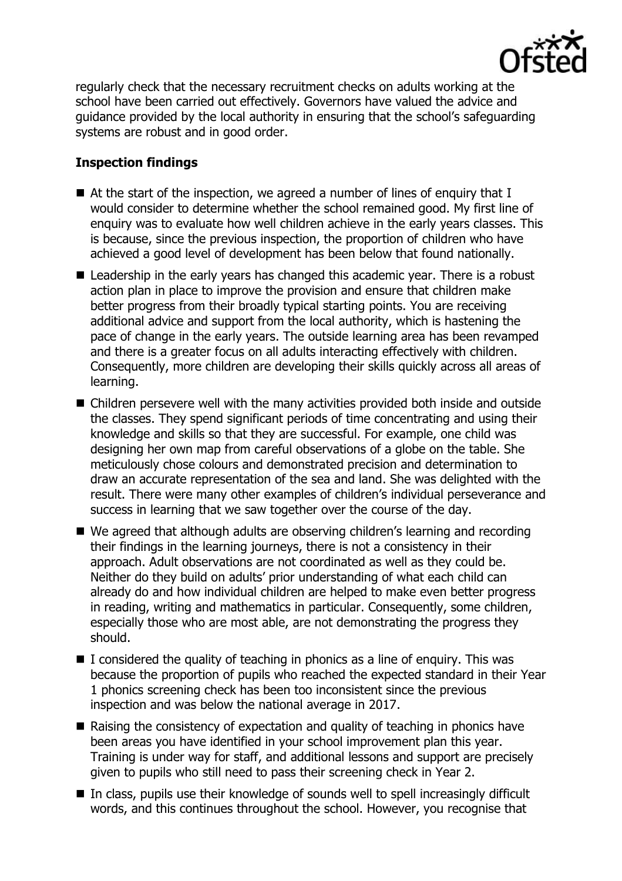

regularly check that the necessary recruitment checks on adults working at the school have been carried out effectively. Governors have valued the advice and guidance provided by the local authority in ensuring that the school's safeguarding systems are robust and in good order.

# **Inspection findings**

- At the start of the inspection, we agreed a number of lines of enguiry that I would consider to determine whether the school remained good. My first line of enquiry was to evaluate how well children achieve in the early years classes. This is because, since the previous inspection, the proportion of children who have achieved a good level of development has been below that found nationally.
- Leadership in the early years has changed this academic year. There is a robust action plan in place to improve the provision and ensure that children make better progress from their broadly typical starting points. You are receiving additional advice and support from the local authority, which is hastening the pace of change in the early years. The outside learning area has been revamped and there is a greater focus on all adults interacting effectively with children. Consequently, more children are developing their skills quickly across all areas of learning.
- Children persevere well with the many activities provided both inside and outside the classes. They spend significant periods of time concentrating and using their knowledge and skills so that they are successful. For example, one child was designing her own map from careful observations of a globe on the table. She meticulously chose colours and demonstrated precision and determination to draw an accurate representation of the sea and land. She was delighted with the result. There were many other examples of children's individual perseverance and success in learning that we saw together over the course of the day.
- We agreed that although adults are observing children's learning and recording their findings in the learning journeys, there is not a consistency in their approach. Adult observations are not coordinated as well as they could be. Neither do they build on adults' prior understanding of what each child can already do and how individual children are helped to make even better progress in reading, writing and mathematics in particular. Consequently, some children, especially those who are most able, are not demonstrating the progress they should.
- $\blacksquare$  I considered the quality of teaching in phonics as a line of enguiry. This was because the proportion of pupils who reached the expected standard in their Year 1 phonics screening check has been too inconsistent since the previous inspection and was below the national average in 2017.
- Raising the consistency of expectation and quality of teaching in phonics have been areas you have identified in your school improvement plan this year. Training is under way for staff, and additional lessons and support are precisely given to pupils who still need to pass their screening check in Year 2.
- In class, pupils use their knowledge of sounds well to spell increasingly difficult words, and this continues throughout the school. However, you recognise that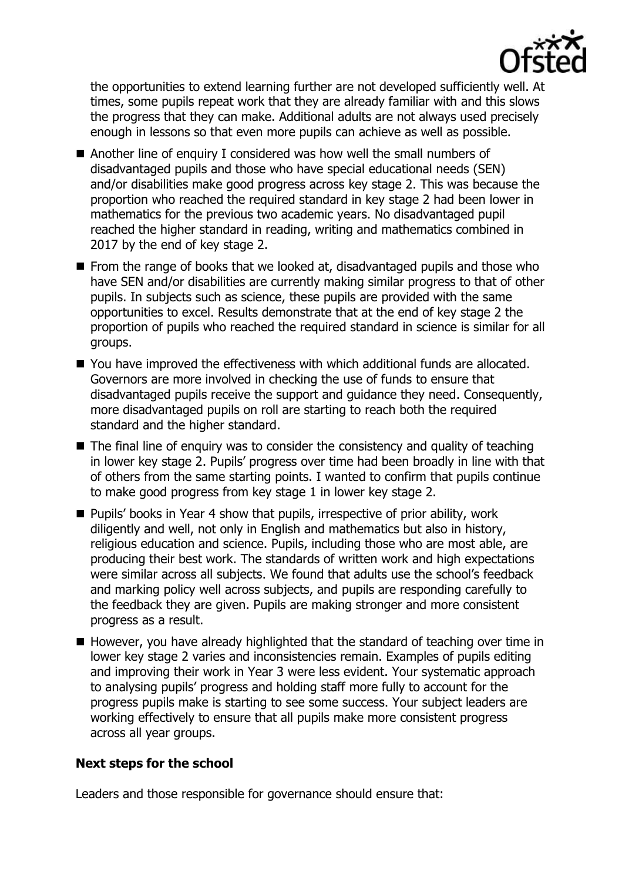

the opportunities to extend learning further are not developed sufficiently well. At times, some pupils repeat work that they are already familiar with and this slows the progress that they can make. Additional adults are not always used precisely enough in lessons so that even more pupils can achieve as well as possible.

- Another line of enquiry I considered was how well the small numbers of disadvantaged pupils and those who have special educational needs (SEN) and/or disabilities make good progress across key stage 2. This was because the proportion who reached the required standard in key stage 2 had been lower in mathematics for the previous two academic years. No disadvantaged pupil reached the higher standard in reading, writing and mathematics combined in 2017 by the end of key stage 2.
- **From the range of books that we looked at, disadvantaged pupils and those who** have SEN and/or disabilities are currently making similar progress to that of other pupils. In subjects such as science, these pupils are provided with the same opportunities to excel. Results demonstrate that at the end of key stage 2 the proportion of pupils who reached the required standard in science is similar for all groups.
- You have improved the effectiveness with which additional funds are allocated. Governors are more involved in checking the use of funds to ensure that disadvantaged pupils receive the support and guidance they need. Consequently, more disadvantaged pupils on roll are starting to reach both the required standard and the higher standard.
- $\blacksquare$  The final line of enguiry was to consider the consistency and quality of teaching in lower key stage 2. Pupils' progress over time had been broadly in line with that of others from the same starting points. I wanted to confirm that pupils continue to make good progress from key stage 1 in lower key stage 2.
- **Pupils' books in Year 4 show that pupils, irrespective of prior ability, work** diligently and well, not only in English and mathematics but also in history, religious education and science. Pupils, including those who are most able, are producing their best work. The standards of written work and high expectations were similar across all subjects. We found that adults use the school's feedback and marking policy well across subjects, and pupils are responding carefully to the feedback they are given. Pupils are making stronger and more consistent progress as a result.
- $\blacksquare$  However, you have already highlighted that the standard of teaching over time in lower key stage 2 varies and inconsistencies remain. Examples of pupils editing and improving their work in Year 3 were less evident. Your systematic approach to analysing pupils' progress and holding staff more fully to account for the progress pupils make is starting to see some success. Your subject leaders are working effectively to ensure that all pupils make more consistent progress across all year groups.

# **Next steps for the school**

Leaders and those responsible for governance should ensure that: